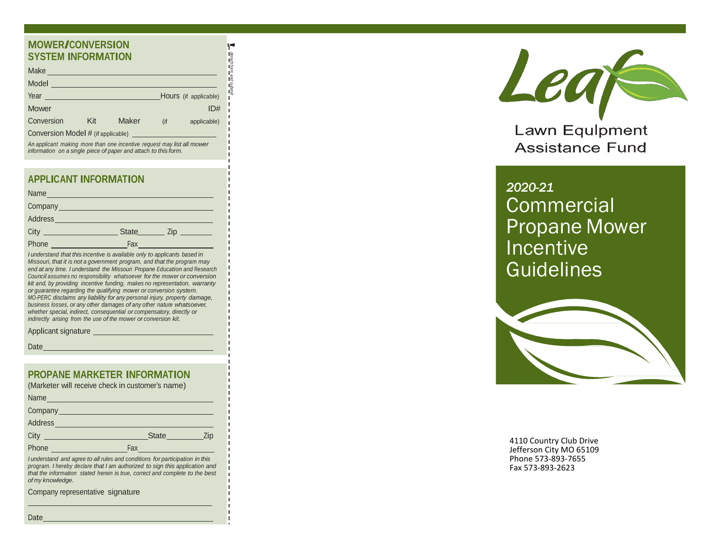## **MOWER/CONVERSION SYSTEM INFORMATION**

| Make                               |     |              |     |                       |  |  |
|------------------------------------|-----|--------------|-----|-----------------------|--|--|
| Model                              |     |              |     |                       |  |  |
| Year                               |     |              |     | Hours (if applicable) |  |  |
| <b>Mower</b>                       |     |              |     | ID#                   |  |  |
| Conversion                         | Kit | <b>Maker</b> | (if | applicable)           |  |  |
| Conversion Model # (if applicable) |     |              |     |                       |  |  |

! *detach form and submit*

An applicant making more than one incentive request may list all mower *information* on a single piece of paper and attach to this form.

#### **APPLICANT INFORMATION**

|       | Name 2008 - 2008 - 2010 - 2010 - 2010 - 2010 - 2010 - 2010 - 2010 - 2010 - 2010 - 2010 - 2010 - 2010 - 2010 - 20 |
|-------|------------------------------------------------------------------------------------------------------------------|
|       |                                                                                                                  |
|       | Address and the contract of the contract of the contract of the contract of the contract of the contract of the  |
|       | <b>State</b><br>Zip                                                                                              |
| Phone | Fax                                                                                                              |

I understand that this incentive is available only to applicants based in Missouri, that it is not a government program, and that the program may end at any time. I understand the Missouri Propane Education and Research Council assumes no responsibility whatsoever for the mower or conversion kit and, by providing incentive funding, makes no representation, warranty or guarantee regarding the qualifying mower or conversion system. MO-PERC disclaims any liability for any personal injury, property damage, business losses, or any other damages of any other nature whatsoever, whether special, indirect, consequential or compensatory, directly or indirectly arising from the use of the mower or conversion kit.

Applicant signature

Date

#### **PROPANE MARKETER INFORMATION**

| (Marketer will receive check in customer's name) |              |     |  |  |
|--------------------------------------------------|--------------|-----|--|--|
| Name                                             |              |     |  |  |
| Company<br><u>Company</u>                        |              |     |  |  |
| Address                                          |              |     |  |  |
| City                                             | <b>State</b> | Zip |  |  |

I understand and agree to all rules and conditions for participation in this program. I hereby declare that I am authorized to sign this application and that the information stated herein is true, correct and complete to the best *o f m y kn o wl e dg e .*

Company representative signature

Phone Fax



Lawn Equlpment **Assistance Fund** 

# *2020-21* **Commercial** Propane Mower Incentive **Guidelines**



4110 Country Club Drive Jefferson City MO 65109 Phone 573-893-7655 Fax 573 -893 -2623

Date